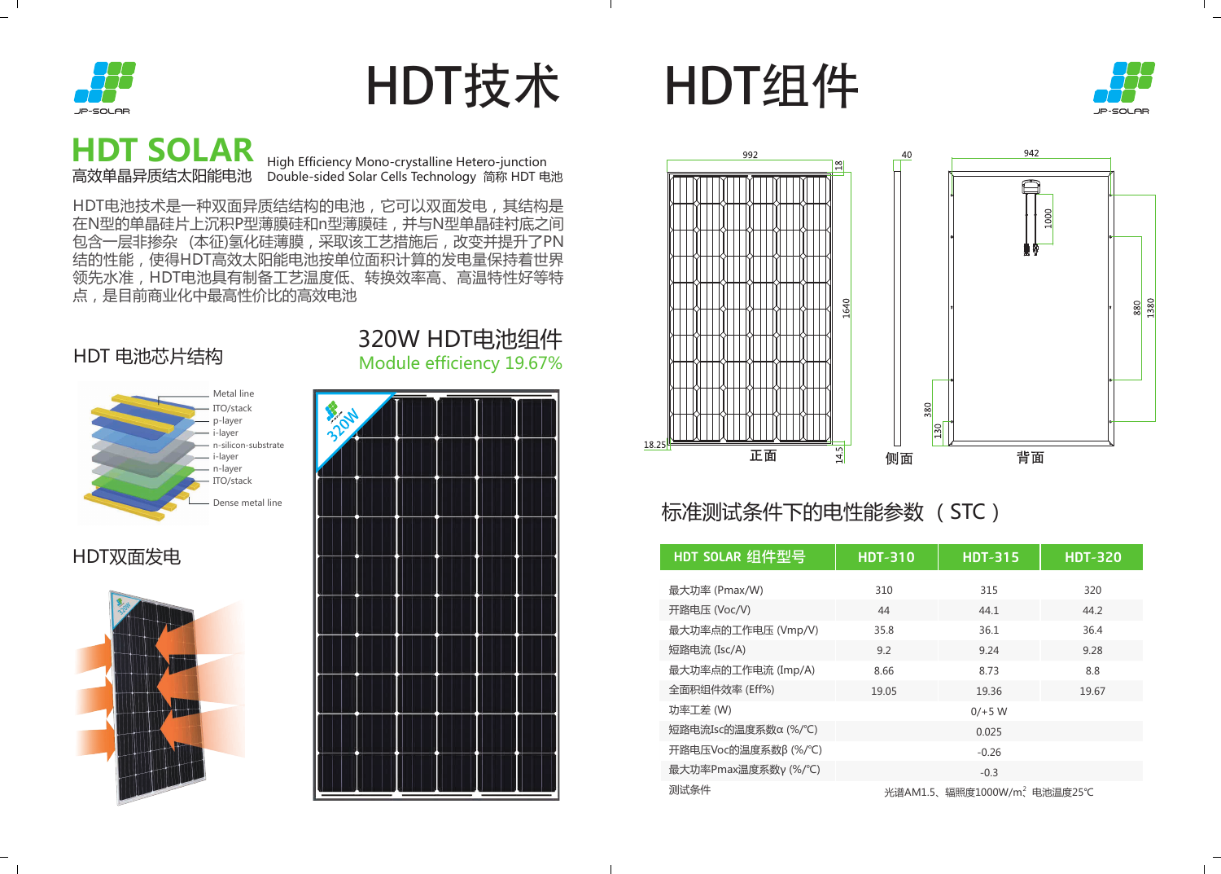### 标准测试条件下的电性能参数 (STC)

HDT电池技术是一种双面异质结结构的电池,它可以双面发电,其结构是 在N型的单晶硅片上沉积P型薄膜硅和n型薄膜硅,并与N型单晶硅衬底之间 包含一层非掺杂 (本征)氢化硅薄膜,采取该工艺措施后,改变并提升了PN 结的性能,使得HDT高效太阳能电池按单位面积计算的发电量保持着世界 领先水准,HDT电池具有制备工艺温度低、转换效率高、高温特性好等特 点,是目前商业化中最高性价比的高效电池



# HDT技术 HDT组件



| HDT SOLAR 组件型号       | <b>HDT-310</b>                          | <b>HDT-315</b> | <b>HDT-320</b> |
|----------------------|-----------------------------------------|----------------|----------------|
|                      |                                         |                |                |
| 最大功率 (Pmax/W)        | 310                                     | 315            | 320            |
| 开路电压 (Voc/V)         | 44                                      | 44.1           | 44.2           |
| 最大功率点的工作电压 (Vmp/V)   | 35.8                                    | 36.1           | 36.4           |
| 短路电流 (Isc/A)         | 9.2                                     | 9.24           | 9.28           |
| 最大功率点的工作电流 (Imp/A)   | 8.66                                    | 8.73           | 8.8            |
| 全面积组件效率 (Eff%)       | 19.05                                   | 19.36          | 19.67          |
| 功率工差 (W)             | $0/+5 W$                                |                |                |
| 短路电流Isc的温度系数α (%/°C) | 0.025                                   |                |                |
| 开路电压Voc的温度系数β(%/°C)  | $-0.26$                                 |                |                |
| 最大功率Pmax温度系数γ(%/°C)  | $-0.3$                                  |                |                |
| 测试条件                 | 光谱AM1.5、辐照度1000W/m <sup>2</sup> 电池温度25℃ |                |                |

## **HDT SOLAR**<br>高效单晶异质结太阳能电池

THE LIGIT COLORATION High Efficiency Mono-crystalline Hetero-junction<br>高效单晶异质结太阳能电池 Double-sided Solar Cells Technology 简称 HDT 电池

### HDT 电池芯片结构 200W HDT电池组件<br>Module efficiency 19.67% Module efficiency 19.67%







### HDT双面发电